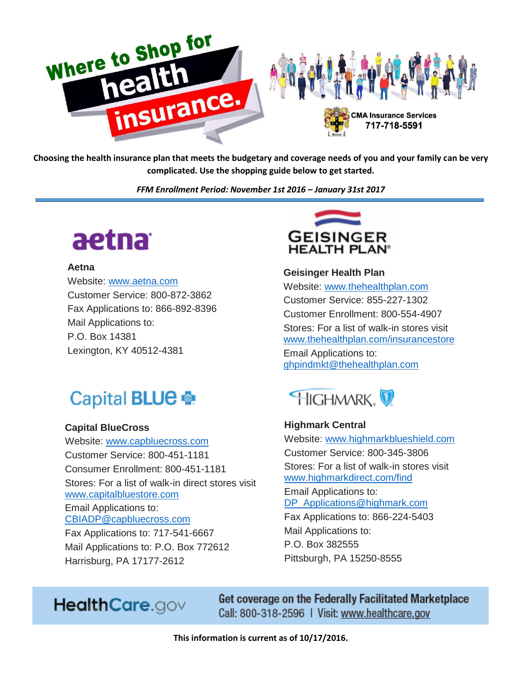

**Choosing the health insurance plan that meets the budgetary and coverage needs of you and your family can be very complicated. Use the shopping guide below to get started.**

*FFM Enrollment Period: November 1st 2016 – January 31st 2017*

# aetna

#### **Aetna**

Website: [www.aetna.com](http://www.aetna.com/) Customer Service: 800-872-3862 Fax Applications to: 866-892-8396 Mail Applications to: P.O. Box 14381 Lexington, KY 40512-4381

# Capital **BLUE**

#### **Capital BlueCross**

Website: [www.capbluecross.com](http://www.capbluecross.com/) Customer Service: 800-451-1181 Consumer Enrollment: 800-451-1181 Stores: For a list of walk-in direct stores visit [www.capitalbluestore.com](http://www.capitalbluestore.com/) Email Applications to: [CBIADP@capbluecross.com](mailto:CBIADP@capbluecross.com) Fax Applications to: 717-541-6667 Mail Applications to: P.O. Box 772612 Harrisburg, PA 17177-2612



**Geisinger Health Plan** Website: [www.thehealthplan.com](http://www.thehealthplan.com/) Customer Service: 855-227-1302 Customer Enrollment: 800-554-4907 Stores: For a list of walk-in stores visit [www.thehealthplan.com/insurancestore](http://www.thehealthplan.com/insurancestore) Email Applications to: [ghpindmkt@thehealthplan.com](mailto:ghpindmkt@thehealthplan.com)



**Highmark Central** Website: [www.highmarkblueshield.com](http://www.highmarkblueshield.com/) Customer Service: 800-345-3806 Stores: For a list of walk-in stores visit [www.highmarkdirect.com/find](http://www.highmarkdirect.com/find) Email Applications to: [DP\\_Applications@highmark.com](mailto:DP_Applications@highmark.com) Fax Applications to: 866-224-5403 Mail Applications to: P.O. Box 382555 Pittsburgh, PA 15250-8555

## HealthCare.gov

Get coverage on the Federally Facilitated Marketplace Call: 800-318-2596 | Visit: www.healthcare.gov

**This information is current as of 10/17/2016.**